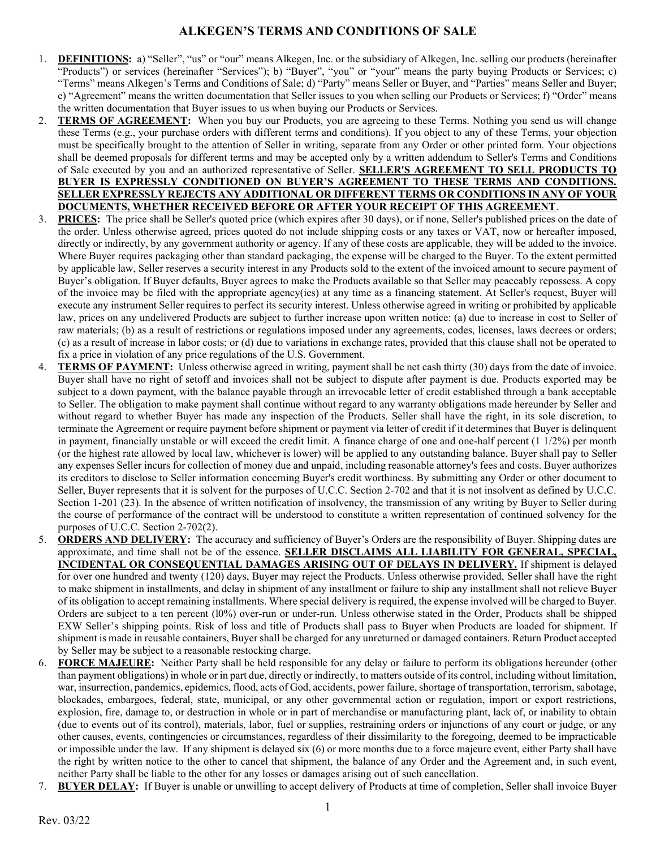- 1. DEFINITIONS: a) "Seller", "us" or "our" means Alkegen, Inc. or the subsidiary of Alkegen, Inc. selling our products (hereinafter "Products") or services (hereinafter "Services"); b) "Buyer", "you" or "your" means the party buying Products or Services; c) "Terms" means Alkegen's Terms and Conditions of Sale; d) "Party" means Seller or Buyer, and "Parties" means Seller and Buyer; e) "Agreement" means the written documentation that Seller issues to you when selling our Products or Services; f) "Order" means the written documentation that Buyer issues to us when buying our Products or Services.
- 2. TERMS OF AGREEMENT: When you buy our Products, you are agreeing to these Terms. Nothing you send us will change these Terms (e.g., your purchase orders with different terms and conditions). If you object to any of these Terms, your objection must be specifically brought to the attention of Seller in writing, separate from any Order or other printed form. Your objections shall be deemed proposals for different terms and may be accepted only by a written addendum to Seller's Terms and Conditions of Sale executed by you and an authorized representative of Seller. SELLER'S AGREEMENT TO SELL PRODUCTS TO BUYER IS EXPRESSLY CONDITIONED ON BUYER'S AGREEMENT TO THESE TERMS AND CONDITIONS. SELLER EXPRESSLY REJECTS ANY ADDITIONAL OR DIFFERENT TERMS OR CONDITIONS IN ANY OF YOUR DOCUMENTS, WHETHER RECEIVED BEFORE OR AFTER YOUR RECEIPT OF THIS AGREEMENT.
- 3. PRICES: The price shall be Seller's quoted price (which expires after 30 days), or if none, Seller's published prices on the date of the order. Unless otherwise agreed, prices quoted do not include shipping costs or any taxes or VAT, now or hereafter imposed, directly or indirectly, by any government authority or agency. If any of these costs are applicable, they will be added to the invoice. Where Buyer requires packaging other than standard packaging, the expense will be charged to the Buyer. To the extent permitted by applicable law, Seller reserves a security interest in any Products sold to the extent of the invoiced amount to secure payment of Buyer's obligation. If Buyer defaults, Buyer agrees to make the Products available so that Seller may peaceably repossess. A copy of the invoice may be filed with the appropriate agency(ies) at any time as a financing statement. At Seller's request, Buyer will execute any instrument Seller requires to perfect its security interest. Unless otherwise agreed in writing or prohibited by applicable law, prices on any undelivered Products are subject to further increase upon written notice: (a) due to increase in cost to Seller of raw materials; (b) as a result of restrictions or regulations imposed under any agreements, codes, licenses, laws decrees or orders; (c) as a result of increase in labor costs; or (d) due to variations in exchange rates, provided that this clause shall not be operated to fix a price in violation of any price regulations of the U.S. Government.
- 4. TERMS OF PAYMENT: Unless otherwise agreed in writing, payment shall be net cash thirty (30) days from the date of invoice. Buyer shall have no right of setoff and invoices shall not be subject to dispute after payment is due. Products exported may be subject to a down payment, with the balance payable through an irrevocable letter of credit established through a bank acceptable to Seller. The obligation to make payment shall continue without regard to any warranty obligations made hereunder by Seller and without regard to whether Buyer has made any inspection of the Products. Seller shall have the right, in its sole discretion, to terminate the Agreement or require payment before shipment or payment via letter of credit if it determines that Buyer is delinquent in payment, financially unstable or will exceed the credit limit. A finance charge of one and one-half percent (1 1/2%) per month (or the highest rate allowed by local law, whichever is lower) will be applied to any outstanding balance. Buyer shall pay to Seller any expenses Seller incurs for collection of money due and unpaid, including reasonable attorney's fees and costs. Buyer authorizes its creditors to disclose to Seller information concerning Buyer's credit worthiness. By submitting any Order or other document to Seller, Buyer represents that it is solvent for the purposes of U.C.C. Section 2-702 and that it is not insolvent as defined by U.C.C. Section 1-201 (23). In the absence of written notification of insolvency, the transmission of any writing by Buyer to Seller during the course of performance of the contract will be understood to constitute a written representation of continued solvency for the purposes of U.C.C. Section 2-702(2).
- **ORDERS AND DELIVERY:** The accuracy and sufficiency of Buyer's Orders are the responsibility of Buyer. Shipping dates are approximate, and time shall not be of the essence. SELLER DISCLAIMS ALL LIABILITY FOR GENERAL, SPECIAL, INCIDENTAL OR CONSEQUENTIAL DAMAGES ARISING OUT OF DELAYS IN DELIVERY. If shipment is delayed for over one hundred and twenty (120) days, Buyer may reject the Products. Unless otherwise provided, Seller shall have the right to make shipment in installments, and delay in shipment of any installment or failure to ship any installment shall not relieve Buyer of its obligation to accept remaining installments. Where special delivery is required, the expense involved will be charged to Buyer. Orders are subject to a ten percent (l0%) over-run or under-run. Unless otherwise stated in the Order, Products shall be shipped EXW Seller's shipping points. Risk of loss and title of Products shall pass to Buyer when Products are loaded for shipment. If shipment is made in reusable containers, Buyer shall be charged for any unreturned or damaged containers. Return Product accepted by Seller may be subject to a reasonable restocking charge.
- 6. FORCE MAJEURE: Neither Party shall be held responsible for any delay or failure to perform its obligations hereunder (other than payment obligations) in whole or in part due, directly or indirectly, to matters outside of its control, including without limitation, war, insurrection, pandemics, epidemics, flood, acts of God, accidents, power failure, shortage of transportation, terrorism, sabotage, blockades, embargoes, federal, state, municipal, or any other governmental action or regulation, import or export restrictions, explosion, fire, damage to, or destruction in whole or in part of merchandise or manufacturing plant, lack of, or inability to obtain (due to events out of its control), materials, labor, fuel or supplies, restraining orders or injunctions of any court or judge, or any other causes, events, contingencies or circumstances, regardless of their dissimilarity to the foregoing, deemed to be impracticable or impossible under the law. If any shipment is delayed six (6) or more months due to a force majeure event, either Party shall have the right by written notice to the other to cancel that shipment, the balance of any Order and the Agreement and, in such event, neither Party shall be liable to the other for any losses or damages arising out of such cancellation.
- 7. BUYER DELAY: If Buyer is unable or unwilling to accept delivery of Products at time of completion, Seller shall invoice Buyer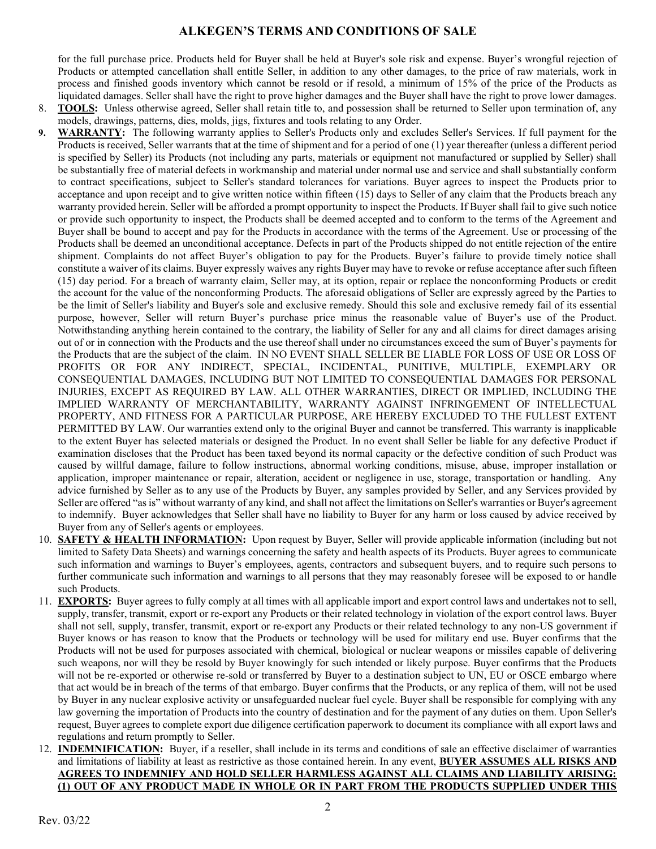for the full purchase price. Products held for Buyer shall be held at Buyer's sole risk and expense. Buyer's wrongful rejection of Products or attempted cancellation shall entitle Seller, in addition to any other damages, to the price of raw materials, work in process and finished goods inventory which cannot be resold or if resold, a minimum of 15% of the price of the Products as liquidated damages. Seller shall have the right to prove higher damages and the Buyer shall have the right to prove lower damages.

- 8. TOOLS: Unless otherwise agreed, Seller shall retain title to, and possession shall be returned to Seller upon termination of, any models, drawings, patterns, dies, molds, jigs, fixtures and tools relating to any Order.
- 9. WARRANTY: The following warranty applies to Seller's Products only and excludes Seller's Services. If full payment for the Products is received, Seller warrants that at the time of shipment and for a period of one (1) year thereafter (unless a different period is specified by Seller) its Products (not including any parts, materials or equipment not manufactured or supplied by Seller) shall be substantially free of material defects in workmanship and material under normal use and service and shall substantially conform to contract specifications, subject to Seller's standard tolerances for variations. Buyer agrees to inspect the Products prior to acceptance and upon receipt and to give written notice within fifteen (15) days to Seller of any claim that the Products breach any warranty provided herein. Seller will be afforded a prompt opportunity to inspect the Products. If Buyer shall fail to give such notice or provide such opportunity to inspect, the Products shall be deemed accepted and to conform to the terms of the Agreement and Buyer shall be bound to accept and pay for the Products in accordance with the terms of the Agreement. Use or processing of the Products shall be deemed an unconditional acceptance. Defects in part of the Products shipped do not entitle rejection of the entire shipment. Complaints do not affect Buyer's obligation to pay for the Products. Buyer's failure to provide timely notice shall constitute a waiver of its claims. Buyer expressly waives any rights Buyer may have to revoke or refuse acceptance after such fifteen (15) day period. For a breach of warranty claim, Seller may, at its option, repair or replace the nonconforming Products or credit the account for the value of the nonconforming Products. The aforesaid obligations of Seller are expressly agreed by the Parties to be the limit of Seller's liability and Buyer's sole and exclusive remedy. Should this sole and exclusive remedy fail of its essential purpose, however, Seller will return Buyer's purchase price minus the reasonable value of Buyer's use of the Product. Notwithstanding anything herein contained to the contrary, the liability of Seller for any and all claims for direct damages arising out of or in connection with the Products and the use thereof shall under no circumstances exceed the sum of Buyer's payments for the Products that are the subject of the claim. IN NO EVENT SHALL SELLER BE LIABLE FOR LOSS OF USE OR LOSS OF PROFITS OR FOR ANY INDIRECT, SPECIAL, INCIDENTAL, PUNITIVE, MULTIPLE, EXEMPLARY OR CONSEQUENTIAL DAMAGES, INCLUDING BUT NOT LIMITED TO CONSEQUENTIAL DAMAGES FOR PERSONAL INJURIES, EXCEPT AS REQUIRED BY LAW. ALL OTHER WARRANTIES, DIRECT OR IMPLIED, INCLUDING THE IMPLIED WARRANTY OF MERCHANTABILITY, WARRANTY AGAINST INFRINGEMENT OF INTELLECTUAL PROPERTY, AND FITNESS FOR A PARTICULAR PURPOSE, ARE HEREBY EXCLUDED TO THE FULLEST EXTENT PERMITTED BY LAW. Our warranties extend only to the original Buyer and cannot be transferred. This warranty is inapplicable to the extent Buyer has selected materials or designed the Product. In no event shall Seller be liable for any defective Product if examination discloses that the Product has been taxed beyond its normal capacity or the defective condition of such Product was caused by willful damage, failure to follow instructions, abnormal working conditions, misuse, abuse, improper installation or application, improper maintenance or repair, alteration, accident or negligence in use, storage, transportation or handling. Any advice furnished by Seller as to any use of the Products by Buyer, any samples provided by Seller, and any Services provided by Seller are offered "as is" without warranty of any kind, and shall not affect the limitations on Seller's warranties or Buyer's agreement to indemnify. Buyer acknowledges that Seller shall have no liability to Buyer for any harm or loss caused by advice received by Buyer from any of Seller's agents or employees.
- 10. SAFETY & HEALTH INFORMATION: Upon request by Buyer, Seller will provide applicable information (including but not limited to Safety Data Sheets) and warnings concerning the safety and health aspects of its Products. Buyer agrees to communicate such information and warnings to Buyer's employees, agents, contractors and subsequent buyers, and to require such persons to further communicate such information and warnings to all persons that they may reasonably foresee will be exposed to or handle such Products.
- 11. **EXPORTS:** Buyer agrees to fully comply at all times with all applicable import and export control laws and undertakes not to sell, supply, transfer, transmit, export or re-export any Products or their related technology in violation of the export control laws. Buyer shall not sell, supply, transfer, transmit, export or re-export any Products or their related technology to any non-US government if Buyer knows or has reason to know that the Products or technology will be used for military end use. Buyer confirms that the Products will not be used for purposes associated with chemical, biological or nuclear weapons or missiles capable of delivering such weapons, nor will they be resold by Buyer knowingly for such intended or likely purpose. Buyer confirms that the Products will not be re-exported or otherwise re-sold or transferred by Buyer to a destination subject to UN, EU or OSCE embargo where that act would be in breach of the terms of that embargo. Buyer confirms that the Products, or any replica of them, will not be used by Buyer in any nuclear explosive activity or unsafeguarded nuclear fuel cycle. Buyer shall be responsible for complying with any law governing the importation of Products into the country of destination and for the payment of any duties on them. Upon Seller's request, Buyer agrees to complete export due diligence certification paperwork to document its compliance with all export laws and regulations and return promptly to Seller.
- 12. INDEMNIFICATION: Buyer, if a reseller, shall include in its terms and conditions of sale an effective disclaimer of warranties and limitations of liability at least as restrictive as those contained herein. In any event, BUYER ASSUMES ALL RISKS AND AGREES TO INDEMNIFY AND HOLD SELLER HARMLESS AGAINST ALL CLAIMS AND LIABILITY ARISING: (1) OUT OF ANY PRODUCT MADE IN WHOLE OR IN PART FROM THE PRODUCTS SUPPLIED UNDER THIS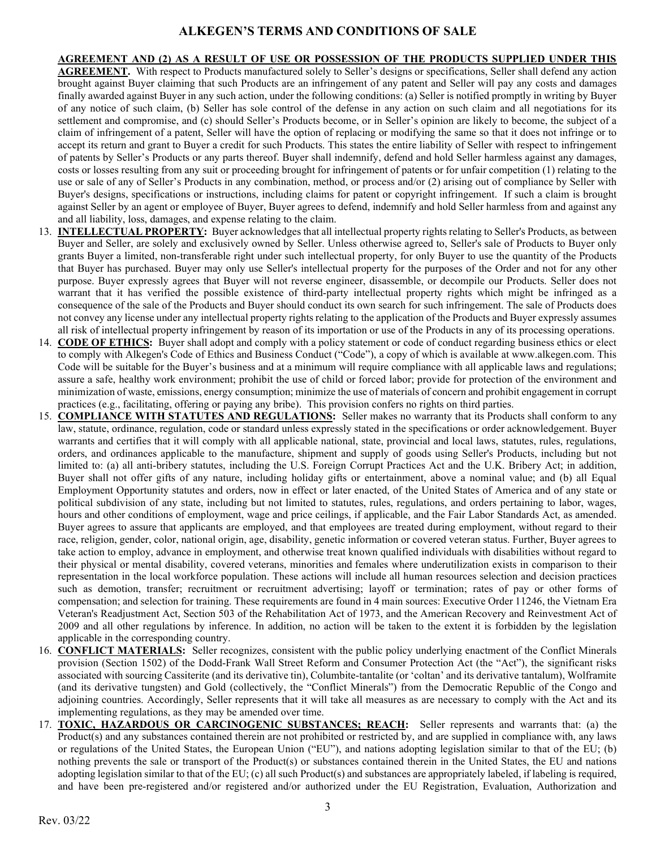AGREEMENT AND (2) AS A RESULT OF USE OR POSSESSION OF THE PRODUCTS SUPPLIED UNDER THIS AGREEMENT. With respect to Products manufactured solely to Seller's designs or specifications, Seller shall defend any action brought against Buyer claiming that such Products are an infringement of any patent and Seller will pay any costs and damages finally awarded against Buyer in any such action, under the following conditions: (a) Seller is notified promptly in writing by Buyer of any notice of such claim, (b) Seller has sole control of the defense in any action on such claim and all negotiations for its settlement and compromise, and (c) should Seller's Products become, or in Seller's opinion are likely to become, the subject of a claim of infringement of a patent, Seller will have the option of replacing or modifying the same so that it does not infringe or to accept its return and grant to Buyer a credit for such Products. This states the entire liability of Seller with respect to infringement of patents by Seller's Products or any parts thereof. Buyer shall indemnify, defend and hold Seller harmless against any damages, costs or losses resulting from any suit or proceeding brought for infringement of patents or for unfair competition (1) relating to the use or sale of any of Seller's Products in any combination, method, or process and/or (2) arising out of compliance by Seller with Buyer's designs, specifications or instructions, including claims for patent or copyright infringement. If such a claim is brought against Seller by an agent or employee of Buyer, Buyer agrees to defend, indemnify and hold Seller harmless from and against any and all liability, loss, damages, and expense relating to the claim.

- 13. **INTELLECTUAL PROPERTY:** Buyer acknowledges that all intellectual property rights relating to Seller's Products, as between Buyer and Seller, are solely and exclusively owned by Seller. Unless otherwise agreed to, Seller's sale of Products to Buyer only grants Buyer a limited, non-transferable right under such intellectual property, for only Buyer to use the quantity of the Products that Buyer has purchased. Buyer may only use Seller's intellectual property for the purposes of the Order and not for any other purpose. Buyer expressly agrees that Buyer will not reverse engineer, disassemble, or decompile our Products. Seller does not warrant that it has verified the possible existence of third-party intellectual property rights which might be infringed as a consequence of the sale of the Products and Buyer should conduct its own search for such infringement. The sale of Products does not convey any license under any intellectual property rights relating to the application of the Products and Buyer expressly assumes all risk of intellectual property infringement by reason of its importation or use of the Products in any of its processing operations.
- 14. CODE OF ETHICS: Buyer shall adopt and comply with a policy statement or code of conduct regarding business ethics or elect to comply with Alkegen's Code of Ethics and Business Conduct ("Code"), a copy of which is available at www.alkegen.com. This Code will be suitable for the Buyer's business and at a minimum will require compliance with all applicable laws and regulations; assure a safe, healthy work environment; prohibit the use of child or forced labor; provide for protection of the environment and minimization of waste, emissions, energy consumption; minimize the use of materials of concern and prohibit engagement in corrupt practices (e.g., facilitating, offering or paying any bribe). This provision confers no rights on third parties.
- 15. COMPLIANCE WITH STATUTES AND REGULATIONS: Seller makes no warranty that its Products shall conform to any law, statute, ordinance, regulation, code or standard unless expressly stated in the specifications or order acknowledgement. Buyer warrants and certifies that it will comply with all applicable national, state, provincial and local laws, statutes, rules, regulations, orders, and ordinances applicable to the manufacture, shipment and supply of goods using Seller's Products, including but not limited to: (a) all anti-bribery statutes, including the U.S. Foreign Corrupt Practices Act and the U.K. Bribery Act; in addition, Buyer shall not offer gifts of any nature, including holiday gifts or entertainment, above a nominal value; and (b) all Equal Employment Opportunity statutes and orders, now in effect or later enacted, of the United States of America and of any state or political subdivision of any state, including but not limited to statutes, rules, regulations, and orders pertaining to labor, wages, hours and other conditions of employment, wage and price ceilings, if applicable, and the Fair Labor Standards Act, as amended. Buyer agrees to assure that applicants are employed, and that employees are treated during employment, without regard to their race, religion, gender, color, national origin, age, disability, genetic information or covered veteran status. Further, Buyer agrees to take action to employ, advance in employment, and otherwise treat known qualified individuals with disabilities without regard to their physical or mental disability, covered veterans, minorities and females where underutilization exists in comparison to their representation in the local workforce population. These actions will include all human resources selection and decision practices such as demotion, transfer; recruitment or recruitment advertising; layoff or termination; rates of pay or other forms of compensation; and selection for training. These requirements are found in 4 main sources: Executive Order 11246, the Vietnam Era Veteran's Readjustment Act, Section 503 of the Rehabilitation Act of 1973, and the American Recovery and Reinvestment Act of 2009 and all other regulations by inference. In addition, no action will be taken to the extent it is forbidden by the legislation applicable in the corresponding country.
- 16. CONFLICT MATERIALS: Seller recognizes, consistent with the public policy underlying enactment of the Conflict Minerals provision (Section 1502) of the Dodd-Frank Wall Street Reform and Consumer Protection Act (the "Act"), the significant risks associated with sourcing Cassiterite (and its derivative tin), Columbite-tantalite (or 'coltan' and its derivative tantalum), Wolframite (and its derivative tungsten) and Gold (collectively, the "Conflict Minerals") from the Democratic Republic of the Congo and adjoining countries. Accordingly, Seller represents that it will take all measures as are necessary to comply with the Act and its implementing regulations, as they may be amended over time.
- 17. TOXIC, HAZARDOUS OR CARCINOGENIC SUBSTANCES; REACH: Seller represents and warrants that: (a) the Product(s) and any substances contained therein are not prohibited or restricted by, and are supplied in compliance with, any laws or regulations of the United States, the European Union ("EU"), and nations adopting legislation similar to that of the EU; (b) nothing prevents the sale or transport of the Product(s) or substances contained therein in the United States, the EU and nations adopting legislation similar to that of the EU; (c) all such Product(s) and substances are appropriately labeled, if labeling is required, and have been pre-registered and/or registered and/or authorized under the EU Registration, Evaluation, Authorization and